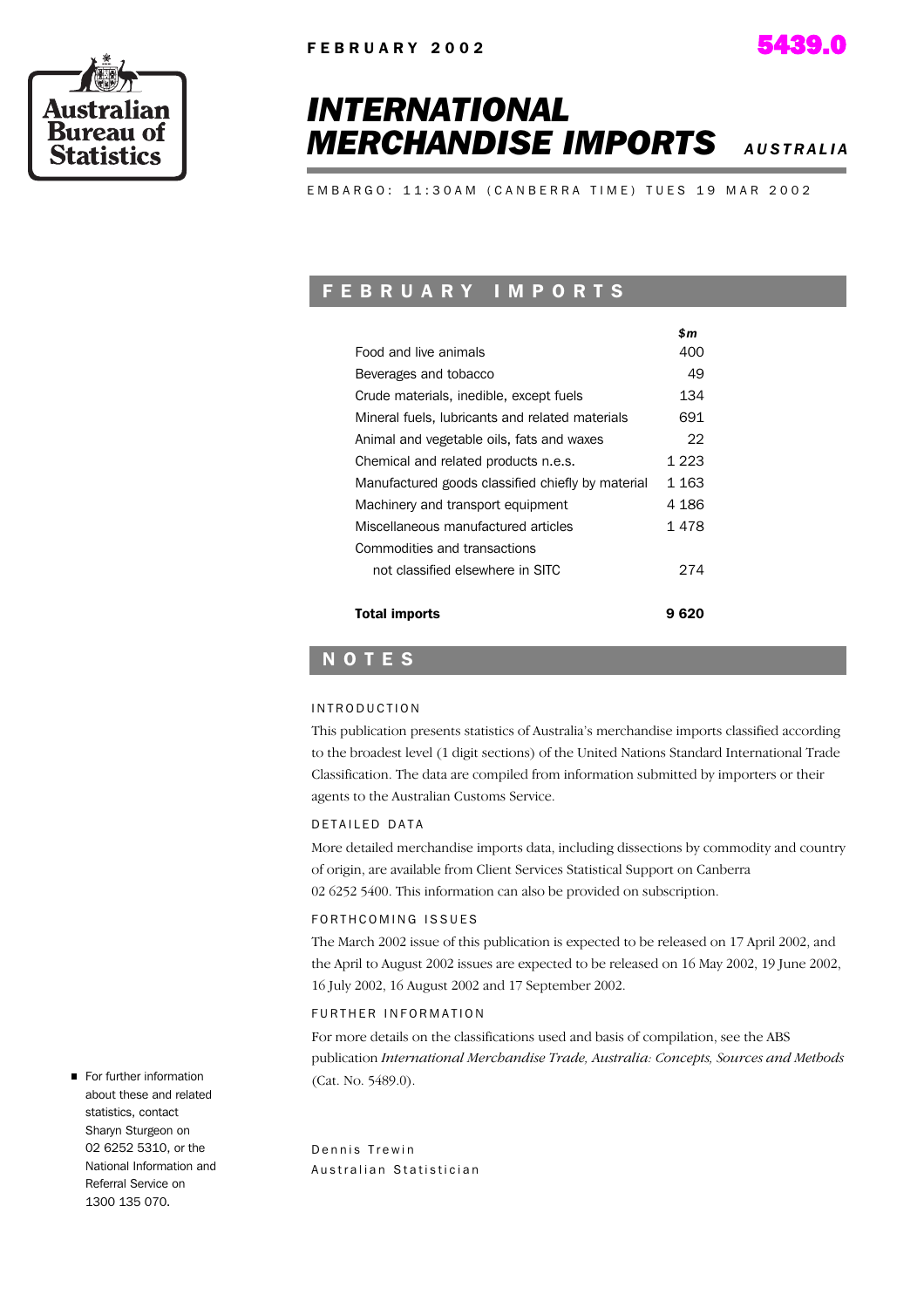



# *INTERNATIONAL* **MERCHANDISE IMPORTS** *AUSTRALIA***</del>**

EMBARGO: 11:30AM (CANBERRA TIME) TUES 19 MAR 2002

## F E B R U A R Y I M P O R T S

|                                                   | \$m   |
|---------------------------------------------------|-------|
| Food and live animals                             | 400   |
| Beverages and tobacco                             | 49    |
| Crude materials, inedible, except fuels           | 134   |
| Mineral fuels, lubricants and related materials   | 691   |
| Animal and vegetable oils, fats and waxes         | 22    |
| Chemical and related products n.e.s.              | 1 223 |
| Manufactured goods classified chiefly by material | 1 163 |
| Machinery and transport equipment                 | 4 186 |
| Miscellaneous manufactured articles               | 1478  |
| Commodities and transactions                      |       |
| not classified elsewhere in SITC                  | 274   |
|                                                   |       |
| <b>Total imports</b>                              | 620   |

### N O T E S

#### I N T R O D U C T I O N

This publication presents statistics of Australia's merchandise imports classified according to the broadest level (1 digit sections) of the United Nations Standard International Trade Classification. The data are compiled from information submitted by importers or their agents to the Australian Customs Service.

#### D E TAILED DATA

More detailed merchandise imports data, including dissections by commodity and country of origin, are available from Client Services Statistical Support on Canberra 02 6252 5400. This information can also be provided on subscription.

#### FORTH COMING ISSUES

The March 2002 issue of this publication is expected to be released on 17 April 2002, and the April to August 2002 issues are expected to be released on 16 May 2002, 19 June 2002, 16 July 2002, 16 August 2002 and 17 September 2002.

#### FURTHER INFORMATION

For more details on the classifications used and basis of compilation, see the ABS publication *International Merchandise Trade, Australia: Concepts, Sources and Methods* (Cat. No. 5489.0).

Dennis Trewin Australian Statistician

For further information about these and related statistics, contact Sharyn Sturgeon on 02 6252 5310, or the National Information and Referral Service on 1300 135 070.